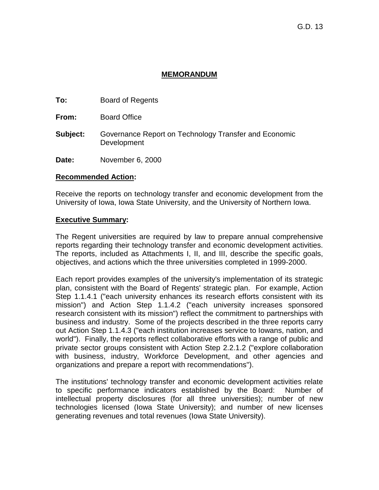### **MEMORANDUM**

**To:** Board of Regents

**From:** Board Office

**Subject:** Governance Report on Technology Transfer and Economic Development

**Date:** November 6, 2000

#### **Recommended Action:**

Receive the reports on technology transfer and economic development from the University of Iowa, Iowa State University, and the University of Northern Iowa.

#### **Executive Summary:**

The Regent universities are required by law to prepare annual comprehensive reports regarding their technology transfer and economic development activities. The reports, included as Attachments I, II, and III, describe the specific goals, objectives, and actions which the three universities completed in 1999-2000.

Each report provides examples of the university's implementation of its strategic plan, consistent with the Board of Regents' strategic plan. For example, Action Step 1.1.4.1 ("each university enhances its research efforts consistent with its mission") and Action Step 1.1.4.2 ("each university increases sponsored research consistent with its mission") reflect the commitment to partnerships with business and industry. Some of the projects described in the three reports carry out Action Step 1.1.4.3 ("each institution increases service to Iowans, nation, and world"). Finally, the reports reflect collaborative efforts with a range of public and private sector groups consistent with Action Step 2.2.1.2 ("explore collaboration with business, industry, Workforce Development, and other agencies and organizations and prepare a report with recommendations").

The institutions' technology transfer and economic development activities relate to specific performance indicators established by the Board: Number of intellectual property disclosures (for all three universities); number of new technologies licensed (Iowa State University); and number of new licenses generating revenues and total revenues (Iowa State University).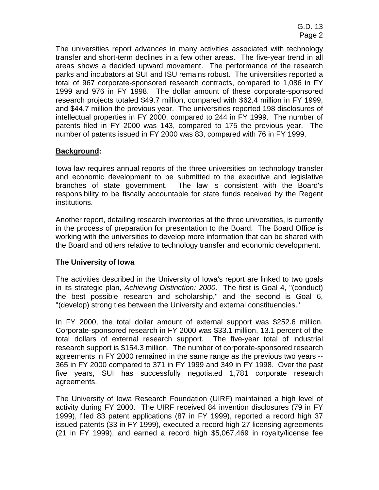The universities report advances in many activities associated with technology transfer and short-term declines in a few other areas. The five-year trend in all areas shows a decided upward movement. The performance of the research parks and incubators at SUI and ISU remains robust. The universities reported a total of 967 corporate-sponsored research contracts, compared to 1,086 in FY 1999 and 976 in FY 1998. The dollar amount of these corporate-sponsored research projects totaled \$49.7 million, compared with \$62.4 million in FY 1999, and \$44.7 million the previous year. The universities reported 198 disclosures of intellectual properties in FY 2000, compared to 244 in FY 1999. The number of patents filed in FY 2000 was 143, compared to 175 the previous year. The number of patents issued in FY 2000 was 83, compared with 76 in FY 1999.

## **Background:**

Iowa law requires annual reports of the three universities on technology transfer and economic development to be submitted to the executive and legislative branches of state government. The law is consistent with the Board's responsibility to be fiscally accountable for state funds received by the Regent institutions.

Another report, detailing research inventories at the three universities, is currently in the process of preparation for presentation to the Board. The Board Office is working with the universities to develop more information that can be shared with the Board and others relative to technology transfer and economic development.

### **The University of Iowa**

The activities described in the University of Iowa's report are linked to two goals in its strategic plan, *Achieving Distinction: 2000*. The first is Goal 4, "(conduct) the best possible research and scholarship," and the second is Goal 6, "(develop) strong ties between the University and external constituencies."

In FY 2000, the total dollar amount of external support was \$252.6 million. Corporate-sponsored research in FY 2000 was \$33.1 million, 13.1 percent of the total dollars of external research support. The five-year total of industrial research support is \$154.3 million. The number of corporate-sponsored research agreements in FY 2000 remained in the same range as the previous two years -- 365 in FY 2000 compared to 371 in FY 1999 and 349 in FY 1998. Over the past five years, SUI has successfully negotiated 1,781 corporate research agreements.

The University of Iowa Research Foundation (UIRF) maintained a high level of activity during FY 2000. The UIRF received 84 invention disclosures (79 in FY 1999), filed 83 patent applications (87 in FY 1999), reported a record high 37 issued patents (33 in FY 1999), executed a record high 27 licensing agreements (21 in FY 1999), and earned a record high \$5,067,469 in royalty/license fee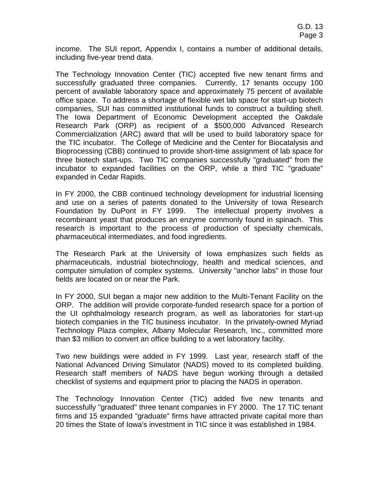income. The SUI report, Appendix I, contains a number of additional details, including five-year trend data.

The Technology Innovation Center (TIC) accepted five new tenant firms and successfully graduated three companies. Currently, 17 tenants occupy 100 percent of available laboratory space and approximately 75 percent of available office space. To address a shortage of flexible wet lab space for start-up biotech companies, SUI has committed institutional funds to construct a building shell. The Iowa Department of Economic Development accepted the Oakdale Research Park (ORP) as recipient of a \$500,000 Advanced Research Commercialization (ARC) award that will be used to build laboratory space for the TIC incubator. The College of Medicine and the Center for Biocatalysis and Bioprocessing (CBB) continued to provide short-time assignment of lab space for three biotech start-ups. Two TIC companies successfully "graduated" from the incubator to expanded facilities on the ORP, while a third TIC "graduate" expanded in Cedar Rapids.

In FY 2000, the CBB continued technology development for industrial licensing and use on a series of patents donated to the University of Iowa Research Foundation by DuPont in FY 1999. The intellectual property involves a recombinant yeast that produces an enzyme commonly found in spinach. This research is important to the process of production of specialty chemicals, pharmaceutical intermediates, and food ingredients.

The Research Park at the University of Iowa emphasizes such fields as pharmaceuticals, industrial biotechnology, health and medical sciences, and computer simulation of complex systems. University "anchor labs" in those four fields are located on or near the Park.

In FY 2000, SUI began a major new addition to the Multi-Tenant Facility on the ORP. The addition will provide corporate-funded research space for a portion of the UI ophthalmology research program, as well as laboratories for start-up biotech companies in the TIC business incubator. In the privately-owned Myriad Technology Plaza complex, Albany Molecular Research, Inc., committed more than \$3 million to convert an office building to a wet laboratory facility.

Two new buildings were added in FY 1999. Last year, research staff of the National Advanced Driving Simulator (NADS) moved to its completed building. Research staff members of NADS have begun working through a detailed checklist of systems and equipment prior to placing the NADS in operation.

The Technology Innovation Center (TIC) added five new tenants and successfully "graduated" three tenant companies in FY 2000. The 17 TIC tenant firms and 15 expanded "graduate" firms have attracted private capital more than 20 times the State of Iowa's investment in TIC since it was established in 1984.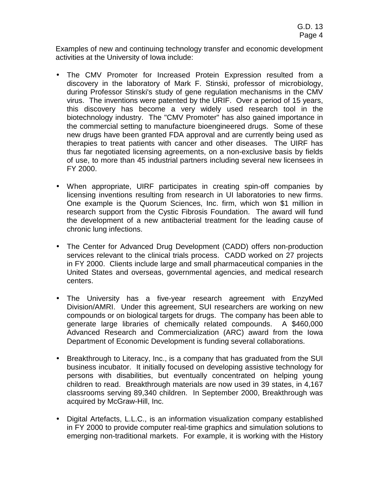Examples of new and continuing technology transfer and economic development activities at the University of Iowa include:

- The CMV Promoter for Increased Protein Expression resulted from a discovery in the laboratory of Mark F. Stinski, professor of microbiology, during Professor Stinski's study of gene regulation mechanisms in the CMV virus. The inventions were patented by the URIF. Over a period of 15 years, this discovery has become a very widely used research tool in the biotechnology industry. The "CMV Promoter" has also gained importance in the commercial setting to manufacture bioengineered drugs. Some of these new drugs have been granted FDA approval and are currently being used as therapies to treat patients with cancer and other diseases. The UIRF has thus far negotiated licensing agreements, on a non-exclusive basis by fields of use, to more than 45 industrial partners including several new licensees in FY 2000.
- When appropriate, UIRF participates in creating spin-off companies by licensing inventions resulting from research in UI laboratories to new firms. One example is the Quorum Sciences, Inc. firm, which won \$1 million in research support from the Cystic Fibrosis Foundation. The award will fund the development of a new antibacterial treatment for the leading cause of chronic lung infections.
- The Center for Advanced Drug Development (CADD) offers non-production services relevant to the clinical trials process. CADD worked on 27 projects in FY 2000. Clients include large and small pharmaceutical companies in the United States and overseas, governmental agencies, and medical research centers.
- The University has a five-year research agreement with EnzyMed Division/AMRI. Under this agreement, SUI researchers are working on new compounds or on biological targets for drugs. The company has been able to generate large libraries of chemically related compounds. A \$460,000 Advanced Research and Commercialization (ARC) award from the Iowa Department of Economic Development is funding several collaborations.
- Breakthrough to Literacy, Inc., is a company that has graduated from the SUI business incubator. It initially focused on developing assistive technology for persons with disabilities, but eventually concentrated on helping young children to read. Breakthrough materials are now used in 39 states, in 4,167 classrooms serving 89,340 children. In September 2000, Breakthrough was acquired by McGraw-Hill, Inc.
- Digital Artefacts, L.L.C., is an information visualization company established in FY 2000 to provide computer real-time graphics and simulation solutions to emerging non-traditional markets. For example, it is working with the History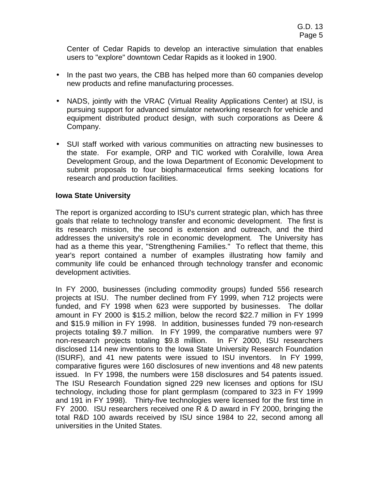Center of Cedar Rapids to develop an interactive simulation that enables users to "explore" downtown Cedar Rapids as it looked in 1900.

- In the past two years, the CBB has helped more than 60 companies develop new products and refine manufacturing processes.
- NADS, jointly with the VRAC (Virtual Reality Applications Center) at ISU, is pursuing support for advanced simulator networking research for vehicle and equipment distributed product design, with such corporations as Deere & Company.
- SUI staff worked with various communities on attracting new businesses to the state. For example, ORP and TIC worked with Coralville, Iowa Area Development Group, and the Iowa Department of Economic Development to submit proposals to four biopharmaceutical firms seeking locations for research and production facilities.

#### **Iowa State University**

The report is organized according to ISU's current strategic plan, which has three goals that relate to technology transfer and economic development. The first is its research mission, the second is extension and outreach, and the third addresses the university's role in economic development*.* The University has had as a theme this year, "Strengthening Families." To reflect that theme, this year's report contained a number of examples illustrating how family and community life could be enhanced through technology transfer and economic development activities.

In FY 2000, businesses (including commodity groups) funded 556 research projects at ISU. The number declined from FY 1999, when 712 projects were funded, and FY 1998 when 623 were supported by businesses. The dollar amount in FY 2000 is \$15.2 million, below the record \$22.7 million in FY 1999 and \$15.9 million in FY 1998. In addition, businesses funded 79 non-research projects totaling \$9.7 million. In FY 1999, the comparative numbers were 97 non-research projects totaling \$9.8 million. In FY 2000, ISU researchers disclosed 114 new inventions to the Iowa State University Research Foundation (ISURF), and 41 new patents were issued to ISU inventors. In FY 1999, comparative figures were 160 disclosures of new inventions and 48 new patents issued. In FY 1998, the numbers were 158 disclosures and 54 patents issued. The ISU Research Foundation signed 229 new licenses and options for ISU technology, including those for plant germplasm (compared to 323 in FY 1999 and 191 in FY 1998). Thirty-five technologies were licensed for the first time in FY 2000. ISU researchers received one R & D award in FY 2000, bringing the total R&D 100 awards received by ISU since 1984 to 22, second among all universities in the United States.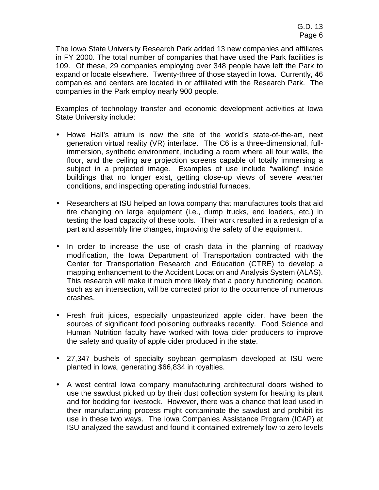The Iowa State University Research Park added 13 new companies and affiliates in FY 2000. The total number of companies that have used the Park facilities is 109. Of these, 29 companies employing over 348 people have left the Park to expand or locate elsewhere. Twenty-three of those stayed in Iowa. Currently, 46 companies and centers are located in or affiliated with the Research Park. The companies in the Park employ nearly 900 people.

Examples of technology transfer and economic development activities at Iowa State University include:

- Howe Hall's atrium is now the site of the world's state-of-the-art, next generation virtual reality (VR) interface. The C6 is a three-dimensional, fullimmersion, synthetic environment, including a room where all four walls, the floor, and the ceiling are projection screens capable of totally immersing a subject in a projected image. Examples of use include "walking" inside buildings that no longer exist, getting close-up views of severe weather conditions, and inspecting operating industrial furnaces.
- Researchers at ISU helped an Iowa company that manufactures tools that aid tire changing on large equipment (i.e., dump trucks, end loaders, etc.) in testing the load capacity of these tools. Their work resulted in a redesign of a part and assembly line changes, improving the safety of the equipment.
- In order to increase the use of crash data in the planning of roadway modification, the Iowa Department of Transportation contracted with the Center for Transportation Research and Education (CTRE) to develop a mapping enhancement to the Accident Location and Analysis System (ALAS). This research will make it much more likely that a poorly functioning location, such as an intersection, will be corrected prior to the occurrence of numerous crashes.
- Fresh fruit juices, especially unpasteurized apple cider, have been the sources of significant food poisoning outbreaks recently. Food Science and Human Nutrition faculty have worked with Iowa cider producers to improve the safety and quality of apple cider produced in the state.
- 27,347 bushels of specialty soybean germplasm developed at ISU were planted in Iowa, generating \$66,834 in royalties.
- A west central Iowa company manufacturing architectural doors wished to use the sawdust picked up by their dust collection system for heating its plant and for bedding for livestock. However, there was a chance that lead used in their manufacturing process might contaminate the sawdust and prohibit its use in these two ways. The Iowa Companies Assistance Program (ICAP) at ISU analyzed the sawdust and found it contained extremely low to zero levels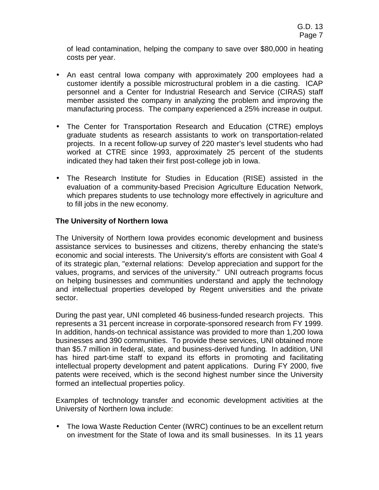of lead contamination, helping the company to save over \$80,000 in heating costs per year.

- An east central Iowa company with approximately 200 employees had a customer identify a possible microstructural problem in a die casting. ICAP personnel and a Center for Industrial Research and Service (CIRAS) staff member assisted the company in analyzing the problem and improving the manufacturing process. The company experienced a 25% increase in output.
- The Center for Transportation Research and Education (CTRE) employs graduate students as research assistants to work on transportation-related projects. In a recent follow-up survey of 220 master's level students who had worked at CTRE since 1993, approximately 25 percent of the students indicated they had taken their first post-college job in Iowa.
- The Research Institute for Studies in Education (RISE) assisted in the evaluation of a community-based Precision Agriculture Education Network, which prepares students to use technology more effectively in agriculture and to fill jobs in the new economy.

## **The University of Northern Iowa**

The University of Northern Iowa provides economic development and business assistance services to businesses and citizens, thereby enhancing the state's economic and social interests. The University's efforts are consistent with Goal 4 of its strategic plan, "external relations: Develop appreciation and support for the values, programs, and services of the university." UNI outreach programs focus on helping businesses and communities understand and apply the technology and intellectual properties developed by Regent universities and the private sector.

During the past year, UNI completed 46 business-funded research projects. This represents a 31 percent increase in corporate-sponsored research from FY 1999. In addition, hands-on technical assistance was provided to more than 1,200 Iowa businesses and 390 communities. To provide these services, UNI obtained more than \$5.7 million in federal, state, and business-derived funding*.* In addition, UNI has hired part-time staff to expand its efforts in promoting and facilitating intellectual property development and patent applications. During FY 2000, five patents were received, which is the second highest number since the University formed an intellectual properties policy.

Examples of technology transfer and economic development activities at the University of Northern Iowa include:

• The Iowa Waste Reduction Center (IWRC) continues to be an excellent return on investment for the State of Iowa and its small businesses. In its 11 years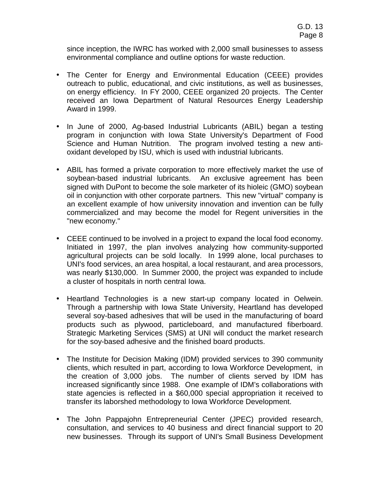since inception, the IWRC has worked with 2,000 small businesses to assess environmental compliance and outline options for waste reduction.

- The Center for Energy and Environmental Education (CEEE) provides outreach to public, educational, and civic institutions, as well as businesses, on energy efficiency. In FY 2000, CEEE organized 20 projects. The Center received an Iowa Department of Natural Resources Energy Leadership Award in 1999.
- In June of 2000, Ag-based Industrial Lubricants (ABIL) began a testing program in conjunction with Iowa State University's Department of Food Science and Human Nutrition. The program involved testing a new antioxidant developed by ISU, which is used with industrial lubricants.
- ABIL has formed a private corporation to more effectively market the use of soybean-based industrial lubricants. An exclusive agreement has been signed with DuPont to become the sole marketer of its hioleic (GMO) soybean oil in conjunction with other corporate partners. This new "virtual" company is an excellent example of how university innovation and invention can be fully commercialized and may become the model for Regent universities in the "new economy."
- CEEE continued to be involved in a project to expand the local food economy. Initiated in 1997, the plan involves analyzing how community-supported agricultural projects can be sold locally. In 1999 alone, local purchases to UNI's food services, an area hospital, a local restaurant, and area processors, was nearly \$130,000. In Summer 2000, the project was expanded to include a cluster of hospitals in north central Iowa.
- Heartland Technologies is a new start-up company located in Oelwein. Through a partnership with Iowa State University, Heartland has developed several soy-based adhesives that will be used in the manufacturing of board products such as plywood, particleboard, and manufactured fiberboard. Strategic Marketing Services (SMS) at UNI will conduct the market research for the soy-based adhesive and the finished board products.
- The Institute for Decision Making (IDM) provided services to 390 community clients, which resulted in part, according to Iowa Workforce Development, in the creation of 3,000 jobs. The number of clients served by IDM has increased significantly since 1988. One example of IDM's collaborations with state agencies is reflected in a \$60,000 special appropriation it received to transfer its laborshed methodology to Iowa Workforce Development.
- The John Pappajohn Entrepreneurial Center (JPEC) provided research, consultation, and services to 40 business and direct financial support to 20 new businesses. Through its support of UNI's Small Business Development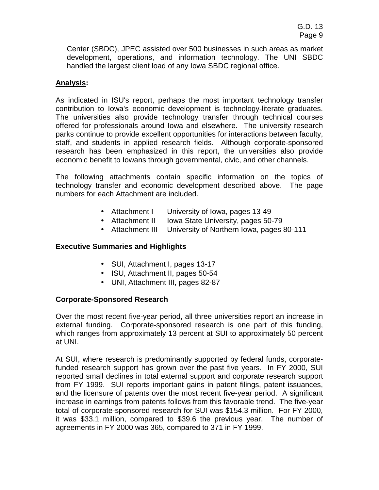Center (SBDC), JPEC assisted over 500 businesses in such areas as market development, operations, and information technology. The UNI SBDC handled the largest client load of any Iowa SBDC regional office.

## **Analysis:**

As indicated in ISU's report, perhaps the most important technology transfer contribution to Iowa's economic development is technology-literate graduates. The universities also provide technology transfer through technical courses offered for professionals around Iowa and elsewhere. The university research parks continue to provide excellent opportunities for interactions between faculty, staff, and students in applied research fields. Although corporate-sponsored research has been emphasized in this report, the universities also provide economic benefit to Iowans through governmental, civic, and other channels.

The following attachments contain specific information on the topics of technology transfer and economic development described above. The page numbers for each Attachment are included.

- Attachment I University of Iowa, pages 13-49
- Attachment II Iowa State University, pages 50-79
- Attachment III University of Northern Iowa, pages 80-111

# **Executive Summaries and Highlights**

- SUI, Attachment I, pages 13-17
- ISU, Attachment II, pages 50-54
- UNI, Attachment III, pages 82-87

### **Corporate-Sponsored Research**

Over the most recent five-year period, all three universities report an increase in external funding. Corporate-sponsored research is one part of this funding, which ranges from approximately 13 percent at SUI to approximately 50 percent at UNI.

At SUI, where research is predominantly supported by federal funds, corporatefunded research support has grown over the past five years. In FY 2000, SUI reported small declines in total external support and corporate research support from FY 1999. SUI reports important gains in patent filings, patent issuances, and the licensure of patents over the most recent five-year period. A significant increase in earnings from patents follows from this favorable trend. The five-year total of corporate-sponsored research for SUI was \$154.3 million. For FY 2000, it was \$33.1 million, compared to \$39.6 the previous year. The number of agreements in FY 2000 was 365, compared to 371 in FY 1999.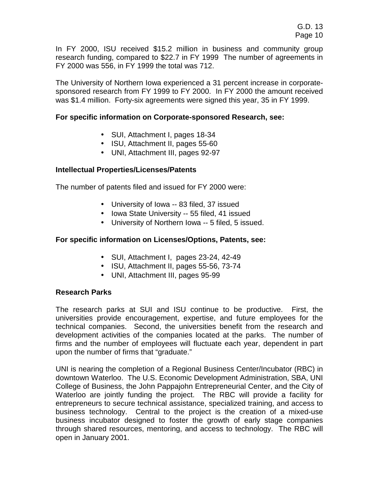In FY 2000, ISU received \$15.2 million in business and community group research funding, compared to \$22.7 in FY 1999 The number of agreements in FY 2000 was 556, in FY 1999 the total was 712.

The University of Northern Iowa experienced a 31 percent increase in corporatesponsored research from FY 1999 to FY 2000. In FY 2000 the amount received was \$1.4 million. Forty-six agreements were signed this year, 35 in FY 1999.

#### **For specific information on Corporate-sponsored Research, see:**

- SUI, Attachment I, pages 18-34
- ISU, Attachment II, pages 55-60
- UNI, Attachment III, pages 92-97

#### **Intellectual Properties/Licenses/Patents**

The number of patents filed and issued for FY 2000 were:

- University of Iowa -- 83 filed, 37 issued
- Iowa State University -- 55 filed, 41 issued
- University of Northern Iowa -- 5 filed, 5 issued.

### **For specific information on Licenses/Options, Patents, see:**

- SUI, Attachment I, pages 23-24, 42-49
- ISU, Attachment II, pages 55-56, 73-74
- UNI, Attachment III, pages 95-99

### **Research Parks**

The research parks at SUI and ISU continue to be productive. First, the universities provide encouragement, expertise, and future employees for the technical companies. Second, the universities benefit from the research and development activities of the companies located at the parks. The number of firms and the number of employees will fluctuate each year, dependent in part upon the number of firms that "graduate."

UNI is nearing the completion of a Regional Business Center/Incubator (RBC) in downtown Waterloo. The U.S. Economic Development Administration, SBA, UNI College of Business, the John Pappajohn Entrepreneurial Center, and the City of Waterloo are jointly funding the project. The RBC will provide a facility for entrepreneurs to secure technical assistance, specialized training, and access to business technology. Central to the project is the creation of a mixed-use business incubator designed to foster the growth of early stage companies through shared resources, mentoring, and access to technology. The RBC will open in January 2001.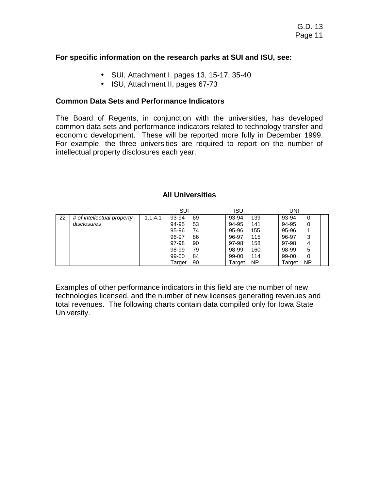#### **For specific information on the research parks at SUI and ISU, see:**

- SUI, Attachment I, pages 13, 15-17, 35-40
- ISU, Attachment II, pages 67-73

#### **Common Data Sets and Performance Indicators**

The Board of Regents, in conjunction with the universities, has developed common data sets and performance indicators related to technology transfer and economic development. These will be reported more fully in December 1999. For example, the three universities are required to report on the number of intellectual property disclosures each year.

### **All Universities**

|    |                            |         | SUI    |    | ISU           |     |        |    |
|----|----------------------------|---------|--------|----|---------------|-----|--------|----|
| 22 | # of intellectual property | 1.1.4.1 | 93-94  | 69 | 93-94         | 139 | 93-94  | 0  |
|    | disclosures                |         | 94-95  | 53 | 94-95         | 141 | 94-95  |    |
|    |                            |         | 95-96  | 74 | 95-96         | 155 | 95-96  |    |
|    |                            |         | 96-97  | 86 | 96-97         | 115 | 96-97  |    |
|    |                            |         | 97-98  | 90 | 97-98         | 158 | 97-98  | 4  |
|    |                            |         | 98-99  | 79 | 98-99         | 160 | 98-99  | 5  |
|    |                            |         | 99-00  | 84 | 99-00         | 114 | 99-00  |    |
|    |                            |         | Target | 90 | <b>Target</b> | ΝP  | Target | ΝP |

Examples of other performance indicators in this field are the number of new technologies licensed, and the number of new licenses generating revenues and total revenues. The following charts contain data compiled only for Iowa State University.